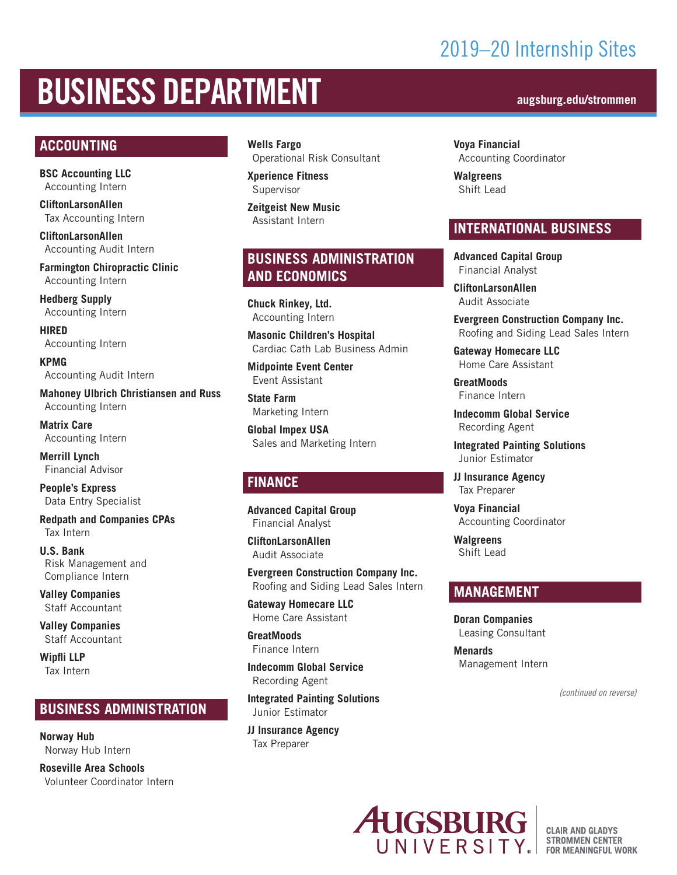## 2019–20 Internship Sites

# BUSINESS DEPARTMENT **augsburg.edu/strommen**

#### **ACCOUNTING**

**BSC Accounting LLC** Accounting Intern

**CliftonLarsonAllen** Tax Accounting Intern

**CliftonLarsonAllen** Accounting Audit Intern

**Farmington Chiropractic Clinic** Accounting Intern

**Hedberg Supply** Accounting Intern

**HIRED** Accounting Intern

**KPMG** Accounting Audit Intern

**Mahoney Ulbrich Christiansen and Russ** Accounting Intern

**Matrix Care** Accounting Intern

**Merrill Lynch** Financial Advisor

**People's Express** Data Entry Specialist

**Redpath and Companies CPAs** Tax Intern

**U.S. Bank** Risk Management and Compliance Intern

**Valley Companies** Staff Accountant

**Valley Companies** Staff Accountant

**Wipfli LLP** Tax Intern

#### **BUSINESS ADMINISTRATION**

**Norway Hub**  Norway Hub Intern

**Roseville Area Schools** Volunteer Coordinator Intern **Wells Fargo** Operational Risk Consultant

**Xperience Fitness** Supervisor

**Zeitgeist New Music** Assistant Intern

### **BUSINESS ADMINISTRATION AND ECONOMICS**

**Chuck Rinkey, Ltd.** Accounting Intern

**Masonic Children's Hospital** Cardiac Cath Lab Business Admin

**Midpointe Event Center**  Event Assistant

**State Farm** Marketing Intern

**Global Impex USA** Sales and Marketing Intern

#### **FINANCE**

**Advanced Capital Group** Financial Analyst

**CliftonLarsonAllen** Audit Associate

**Evergreen Construction Company Inc.** Roofing and Siding Lead Sales Intern

**Gateway Homecare LLC** Home Care Assistant

**GreatMoods** Finance Intern

**Indecomm Global Service** Recording Agent

**Integrated Painting Solutions** Junior Estimator

**JJ Insurance Agency** Tax Preparer

**Voya Financial** Accounting Coordinator

**Walgreens** Shift Lead

#### **INTERNATIONAL BUSINESS**

**Advanced Capital Group** Financial Analyst

**CliftonLarsonAllen** Audit Associate

**Evergreen Construction Company Inc.** Roofing and Siding Lead Sales Intern

**Gateway Homecare LLC** Home Care Assistant

**GreatMoods** Finance Intern

**Indecomm Global Service** Recording Agent

**Integrated Painting Solutions** Junior Estimator

**JJ Insurance Agency** Tax Preparer

**Voya Financial** Accounting Coordinator

**Walgreens** Shift Lead

#### **MANAGEMENT**

**Doran Companies** Leasing Consultant

**Menards** Management Intern

*(continued on reverse)*



**CLAIR AND GLADYS STROMMEN CENTER** FOR MEANINGFUL WORK